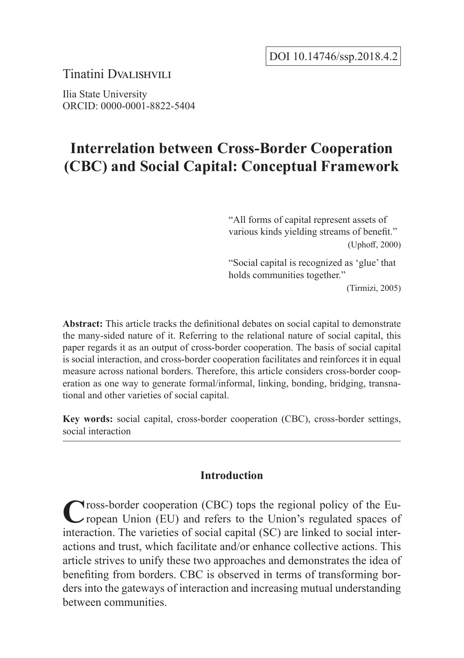Tinatini Dval ISHVILI

Ilia State University ORCID: 0000-0001-8822-5404

# **Interrelation between Cross-Border Cooperation (CBC) and Social Capital: Conceptual Framework**

"All forms of capital represent assets of various kinds yielding streams of benefit." (Uphoff, 2000)

"Social capital is recognized as 'glue' that holds communities together."

(Tirmizi, 2005)

**Abstract:** This article tracks the definitional debates on social capital to demonstrate the many-sided nature of it. Referring to the relational nature of social capital, this paper regards it as an output of cross-border cooperation. The basis of social capital is social interaction, and cross-border cooperation facilitates and reinforces it in equal measure across national borders. Therefore, this article considers cross-border cooperation as one way to generate formal/informal, linking, bonding, bridging, transnational and other varieties of social capital.

**Key words:** social capital, cross-border cooperation (CBC), cross-border settings, social interaction

# **Introduction**

Cross-border cooperation (CBC) tops the regional policy of the European Union (EU) and refers to the Union's regulated spaces of interaction. The varieties of social capital (SC) are linked to social interactions and trust, which facilitate and/or enhance collective actions. This article strives to unify these two approaches and demonstrates the idea of benefiting from borders. CBC is observed in terms of transforming borders into the gateways of interaction and increasing mutual understanding between communities.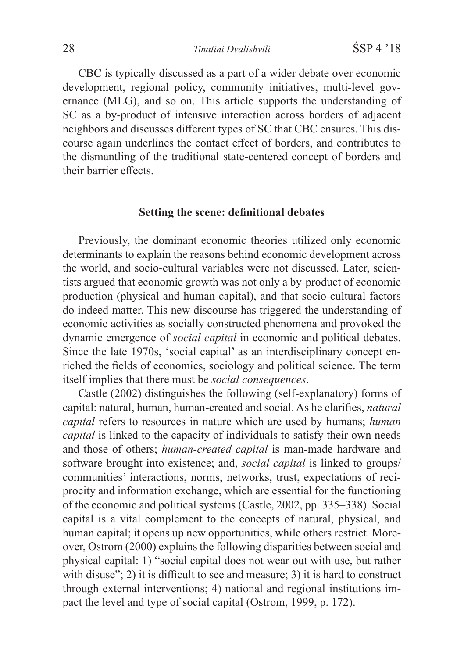CBC is typically discussed as a part of a wider debate over economic development, regional policy, community initiatives, multi-level governance (MLG), and so on. This article supports the understanding of SC as a by-product of intensive interaction across borders of adjacent neighbors and discusses different types of SC that CBC ensures. This discourse again underlines the contact effect of borders, and contributes to the dismantling of the traditional state-centered concept of borders and their barrier effects.

#### **Setting the scene: definitional debates**

Previously, the dominant economic theories utilized only economic determinants to explain the reasons behind economic development across the world, and socio-cultural variables were not discussed. Later, scientists argued that economic growth was not only a by-product of economic production (physical and human capital), and that socio-cultural factors do indeed matter. This new discourse has triggered the understanding of economic activities as socially constructed phenomena and provoked the dynamic emergence of *social capital* in economic and political debates. Since the late 1970s, 'social capital' as an interdisciplinary concept enriched the fields of economics, sociology and political science. The term itself implies that there must be *social consequences*.

Castle (2002) distinguishes the following (self-explanatory) forms of capital: natural, human, human-created and social. As he clarifies, *natural capital* refers to resources in nature which are used by humans; *human capital* is linked to the capacity of individuals to satisfy their own needs and those of others; *human-created capital* is man-made hardware and software brought into existence; and, *social capital* is linked to groups/ communities' interactions, norms, networks, trust, expectations of reciprocity and information exchange, which are essential for the functioning of the economic and political systems (Castle, 2002, pp. 335–338). Social capital is a vital complement to the concepts of natural, physical, and human capital; it opens up new opportunities, while others restrict. Moreover, Ostrom (2000) explains the following disparities between social and physical capital: 1) "social capital does not wear out with use, but rather with disuse"; 2) it is difficult to see and measure; 3) it is hard to construct through external interventions; 4) national and regional institutions impact the level and type of social capital (Ostrom, 1999, p. 172).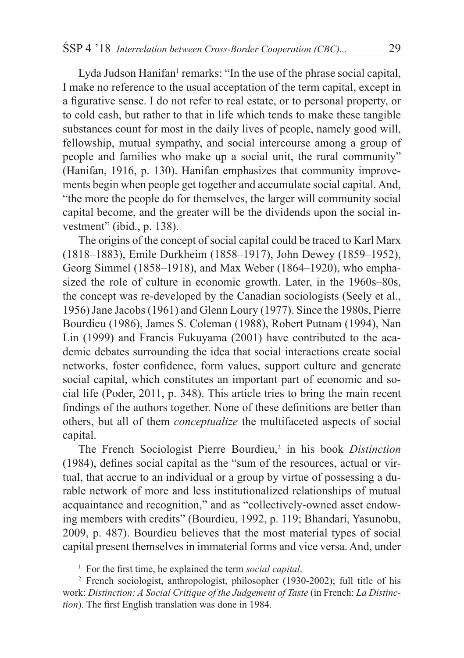Lyda Judson Hanifan<sup>1</sup> remarks: "In the use of the phrase social capital, I make no reference to the usual acceptation of the term capital, except in a figurative sense. I do not refer to real estate, or to personal property, or to cold cash, but rather to that in life which tends to make these tangible substances count for most in the daily lives of people, namely good will, fellowship, mutual sympathy, and social intercourse among a group of people and families who make up a social unit, the rural community" (Hanifan, 1916, p. 130). Hanifan emphasizes that community improvements begin when people get together and accumulate social capital. And, "the more the people do for themselves, the larger will community social capital become, and the greater will be the dividends upon the social investment" (ibid., p. 138).

The origins of the concept of social capital could be traced to Karl Marx (1818–1883), Emile Durkheim (1858–1917), John Dewey (1859–1952), Georg Simmel (1858–1918), and Max Weber (1864–1920), who emphasized the role of culture in economic growth. Later, in the 1960s–80s, the concept was re-developed by the Canadian sociologists (Seely et al., 1956) Jane Jacobs (1961) and Glenn Loury (1977). Since the 1980s, Pierre Bourdieu (1986), James S. Coleman (1988), Robert Putnam (1994), Nan Lin (1999) and Francis Fukuyama (2001) have contributed to the academic debates surrounding the idea that social interactions create social networks, foster confidence, form values, support culture and generate social capital, which constitutes an important part of economic and social life (Poder, 2011, p. 348). This article tries to bring the main recent findings of the authors together. None of these definitions are better than others, but all of them *conceptualize* the multifaceted aspects of social capital.

The French Sociologist Pierre Bourdieu,<sup>2</sup> in his book *Distinction* (1984), defines social capital as the "sum of the resources, actual or virtual, that accrue to an individual or a group by virtue of possessing a durable network of more and less institutionalized relationships of mutual acquaintance and recognition," and as "collectively-owned asset endowing members with credits" (Bourdieu, 1992, p. 119; Bhandari, Yasunobu, 2009, p. 487). Bourdieu believes that the most material types of social capital present themselves in immaterial forms and vice versa. And, under

<sup>1</sup> For the first time, he explained the term *social capital*.

<sup>&</sup>lt;sup>2</sup> French sociologist, anthropologist, philosopher (1930-2002); full title of his work: *Distinction: A Social Critique of the Judgement of Taste* (in French: *La Distinction*). The first English translation was done in 1984.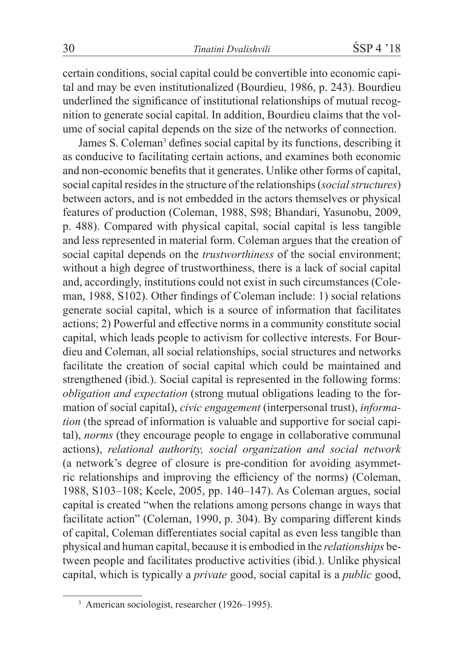certain conditions, social capital could be convertible into economic capital and may be even institutionalized (Bourdieu, 1986, p. 243). Bourdieu underlined the significance of institutional relationships of mutual recognition to generate social capital. In addition, Bourdieu claims that the volume of social capital depends on the size of the networks of connection.

James S. Coleman<sup>3</sup> defines social capital by its functions, describing it as conducive to facilitating certain actions, and examines both economic and non-economic benefits that it generates. Unlike other forms of capital, social capital resides in the structure of the relationships (*social structures*) between actors, and is not embedded in the actors themselves or physical features of production (Coleman, 1988, S98; Bhandari, Yasunobu, 2009, p. 488). Compared with physical capital, social capital is less tangible and less represented in material form. Coleman argues that the creation of social capital depends on the *trustworthiness* of the social environment; without a high degree of trustworthiness, there is a lack of social capital and, accordingly, institutions could not exist in such circumstances (Coleman, 1988, S102). Other findings of Coleman include: 1) social relations generate social capital, which is a source of information that facilitates actions; 2) Powerful and effective norms in a community constitute social capital, which leads people to activism for collective interests. For Bourdieu and Coleman, all social relationships, social structures and networks facilitate the creation of social capital which could be maintained and strengthened (ibid.). Social capital is represented in the following forms: *obligation and expectation* (strong mutual obligations leading to the formation of social capital), *civic engagement* (interpersonal trust), *information* (the spread of information is valuable and supportive for social capital), *norms* (they encourage people to engage in collaborative communal actions), *relational authority, social organization and social network*  (a network's degree of closure is pre-condition for avoiding asymmetric relationships and improving the efficiency of the norms) (Coleman, 1988, S103–108; Keele, 2005, pp. 140–147). As Coleman argues, social capital is created "when the relations among persons change in ways that facilitate action" (Coleman, 1990, p. 304). By comparing different kinds of capital, Coleman differentiates social capital as even less tangible than physical and human capital, because it is embodied in the *relationships* between people and facilitates productive activities (ibid.). Unlike physical capital, which is typically a *private* good, social capital is a *public* good,

<sup>&</sup>lt;sup>3</sup> American sociologist, researcher (1926–1995).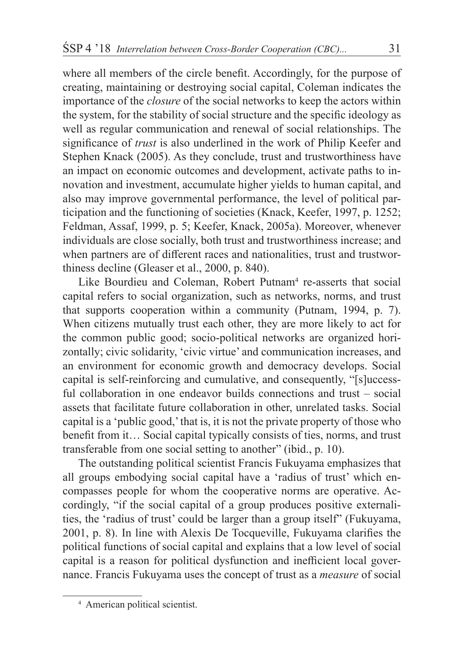where all members of the circle benefit. Accordingly, for the purpose of creating, maintaining or destroying social capital, Coleman indicates the importance of the *closure* of the social networks to keep the actors within the system, for the stability of social structure and the specific ideology as well as regular communication and renewal of social relationships. The significance of *trust* is also underlined in the work of Philip Keefer and Stephen Knack (2005). As they conclude, trust and trustworthiness have an impact on economic outcomes and development, activate paths to innovation and investment, accumulate higher yields to human capital, and also may improve governmental performance, the level of political participation and the functioning of societies (Knack, Keefer, 1997, p. 1252; Feldman, Assaf, 1999, p. 5; Keefer, Knack, 2005a). Moreover, whenever individuals are close socially, both trust and trustworthiness increase; and when partners are of different races and nationalities, trust and trustworthiness decline (Gleaser et al., 2000, p. 840).

Like Bourdieu and Coleman, Robert Putnam<sup>4</sup> re-asserts that social capital refers to social organization, such as networks, norms, and trust that supports cooperation within a community (Putnam, 1994, p. 7). When citizens mutually trust each other, they are more likely to act for the common public good; socio-political networks are organized horizontally; civic solidarity, 'civic virtue' and communication increases, and an environment for economic growth and democracy develops. Social capital is self-reinforcing and cumulative, and consequently, "[s]uccessful collaboration in one endeavor builds connections and trust – social assets that facilitate future collaboration in other, unrelated tasks. Social capital is a 'public good,' that is, it is not the private property of those who benefit from it… Social capital typically consists of ties, norms, and trust transferable from one social setting to another" (ibid., p. 10).

The outstanding political scientist Francis Fukuyama emphasizes that all groups embodying social capital have a 'radius of trust' which encompasses people for whom the cooperative norms are operative. Accordingly, "if the social capital of a group produces positive externalities, the 'radius of trust' could be larger than a group itself" (Fukuyama, 2001, p. 8). In line with Alexis De Tocqueville, Fukuyama clarifies the political functions of social capital and explains that a low level of social capital is a reason for political dysfunction and inefficient local governance. Francis Fukuyama uses the concept of trust as a *measure* of social

<sup>4</sup> American political scientist.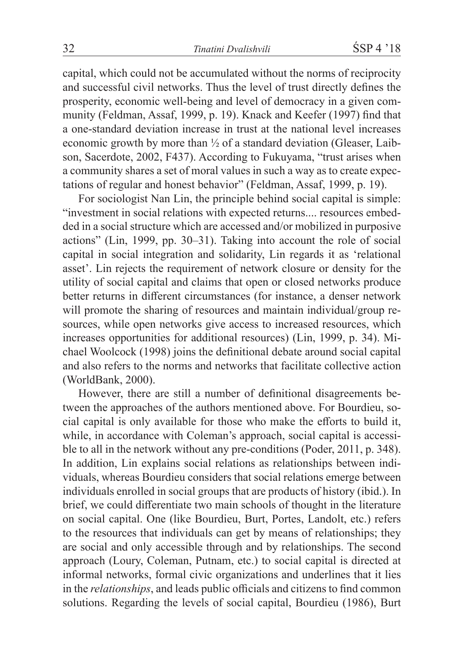capital, which could not be accumulated without the norms of reciprocity and successful civil networks. Thus the level of trust directly defines the prosperity, economic well-being and level of democracy in a given community (Feldman, Assaf, 1999, p. 19). Knack and Keefer (1997) find that a one-standard deviation increase in trust at the national level increases economic growth by more than ½ of a standard deviation (Gleaser, Laibson, Sacerdote, 2002, F437). According to Fukuyama, "trust arises when a community shares a set of moral values in such a way as to create expectations of regular and honest behavior" (Feldman, Assaf, 1999, p. 19).

For sociologist Nan Lin, the principle behind social capital is simple: "investment in social relations with expected returns.... resources embedded in a social structure which are accessed and/or mobilized in purposive actions" (Lin, 1999, pp. 30–31). Taking into account the role of social capital in social integration and solidarity, Lin regards it as 'relational asset'. Lin rejects the requirement of network closure or density for the utility of social capital and claims that open or closed networks produce better returns in different circumstances (for instance, a denser network will promote the sharing of resources and maintain individual/group resources, while open networks give access to increased resources, which increases opportunities for additional resources) (Lin, 1999, p. 34). Michael Woolcock (1998) joins the definitional debate around social capital and also refers to the norms and networks that facilitate collective action (WorldBank, 2000).

However, there are still a number of definitional disagreements between the approaches of the authors mentioned above. For Bourdieu, social capital is only available for those who make the efforts to build it, while, in accordance with Coleman's approach, social capital is accessible to all in the network without any pre-conditions (Poder, 2011, p. 348). In addition, Lin explains social relations as relationships between individuals, whereas Bourdieu considers that social relations emerge between individuals enrolled in social groups that are products of history (ibid.). In brief, we could differentiate two main schools of thought in the literature on social capital. One (like Bourdieu, Burt, Portes, Landolt, etc.) refers to the resources that individuals can get by means of relationships; they are social and only accessible through and by relationships. The second approach (Loury, Coleman, Putnam, etc.) to social capital is directed at informal networks, formal civic organizations and underlines that it lies in the *relationships*, and leads public officials and citizens to find common solutions. Regarding the levels of social capital, Bourdieu (1986), Burt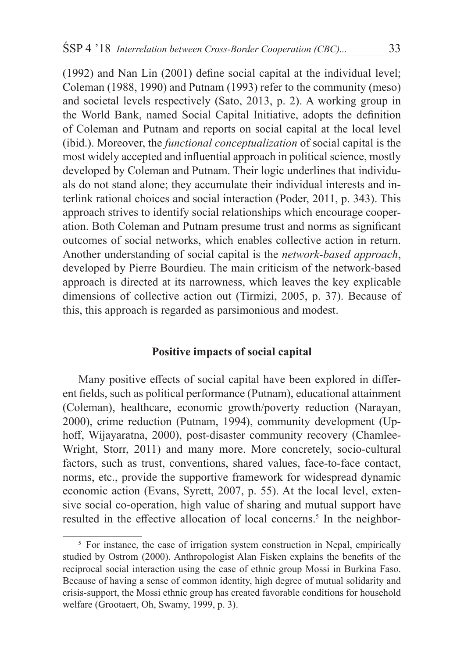(1992) and Nan Lin (2001) define social capital at the individual level; Coleman (1988, 1990) and Putnam (1993) refer to the community (meso) and societal levels respectively (Sato, 2013, p. 2). A working group in the World Bank, named Social Capital Initiative, adopts the definition of Coleman and Putnam and reports on social capital at the local level (ibid.). Moreover, the *functional conceptualization* of social capital is the most widely accepted and influential approach in political science, mostly developed by Coleman and Putnam. Their logic underlines that individuals do not stand alone; they accumulate their individual interests and interlink rational choices and social interaction (Poder, 2011, p. 343). This approach strives to identify social relationships which encourage cooperation. Both Coleman and Putnam presume trust and norms as significant outcomes of social networks, which enables collective action in return. Another understanding of social capital is the *network-based approach*, developed by Pierre Bourdieu. The main criticism of the network-based approach is directed at its narrowness, which leaves the key explicable dimensions of collective action out (Tirmizi, 2005, p. 37). Because of this, this approach is regarded as parsimonious and modest.

# **Positive impacts of social capital**

Many positive effects of social capital have been explored in different fields, such as political performance (Putnam), educational attainment (Coleman), healthcare, economic growth/poverty reduction (Narayan, 2000), crime reduction (Putnam, 1994), community development (Uphoff, Wijayaratna, 2000), post-disaster community recovery (Chamlee-Wright, Storr, 2011) and many more. More concretely, socio-cultural factors, such as trust, conventions, shared values, face-to-face contact, norms, etc., provide the supportive framework for widespread dynamic economic action (Evans, Syrett, 2007, p. 55). At the local level, extensive social co-operation, high value of sharing and mutual support have resulted in the effective allocation of local concerns.<sup>5</sup> In the neighbor-

<sup>&</sup>lt;sup>5</sup> For instance, the case of irrigation system construction in Nepal, empirically studied by Ostrom (2000). Anthropologist Alan Fisken explains the benefits of the reciprocal social interaction using the case of ethnic group Mossi in Burkina Faso. Because of having a sense of common identity, high degree of mutual solidarity and crisis-support, the Mossi ethnic group has created favorable conditions for household welfare (Grootaert, Oh, Swamy, 1999, p. 3).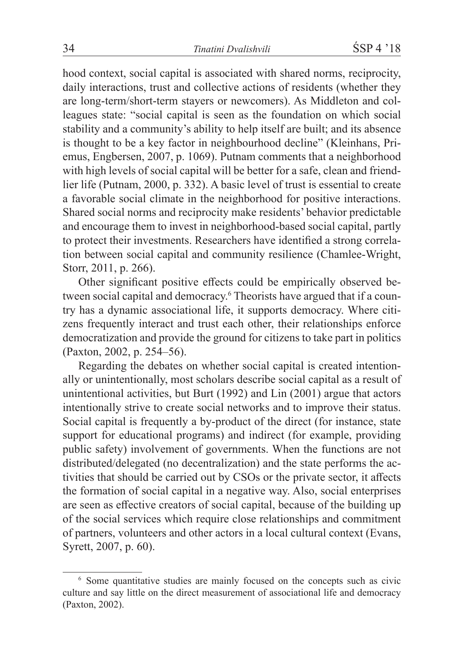hood context, social capital is associated with shared norms, reciprocity, daily interactions, trust and collective actions of residents (whether they are long-term/short-term stayers or newcomers). As Middleton and colleagues state: "social capital is seen as the foundation on which social stability and a community's ability to help itself are built; and its absence is thought to be a key factor in neighbourhood decline" (Kleinhans, Priemus, Engbersen, 2007, p. 1069). Putnam comments that a neighborhood with high levels of social capital will be better for a safe, clean and friendlier life (Putnam, 2000, p. 332). A basic level of trust is essential to create a favorable social climate in the neighborhood for positive interactions. Shared social norms and reciprocity make residents' behavior predictable and encourage them to invest in neighborhood-based social capital, partly to protect their investments. Researchers have identified a strong correlation between social capital and community resilience (Chamlee-Wright, Storr, 2011, p. 266).

Other significant positive effects could be empirically observed between social capital and democracy.<sup>6</sup> Theorists have argued that if a country has a dynamic associational life, it supports democracy. Where citizens frequently interact and trust each other, their relationships enforce democratization and provide the ground for citizens to take part in politics (Paxton, 2002, p. 254–56).

Regarding the debates on whether social capital is created intentionally or unintentionally, most scholars describe social capital as a result of unintentional activities, but Burt (1992) and Lin (2001) argue that actors intentionally strive to create social networks and to improve their status. Social capital is frequently a by-product of the direct (for instance, state support for educational programs) and indirect (for example, providing public safety) involvement of governments. When the functions are not distributed/delegated (no decentralization) and the state performs the activities that should be carried out by CSOs or the private sector, it affects the formation of social capital in a negative way. Also, social enterprises are seen as effective creators of social capital, because of the building up of the social services which require close relationships and commitment of partners, volunteers and other actors in a local cultural context (Evans, Syrett, 2007, p. 60).

<sup>6</sup> Some quantitative studies are mainly focused on the concepts such as civic culture and say little on the direct measurement of associational life and democracy (Paxton, 2002).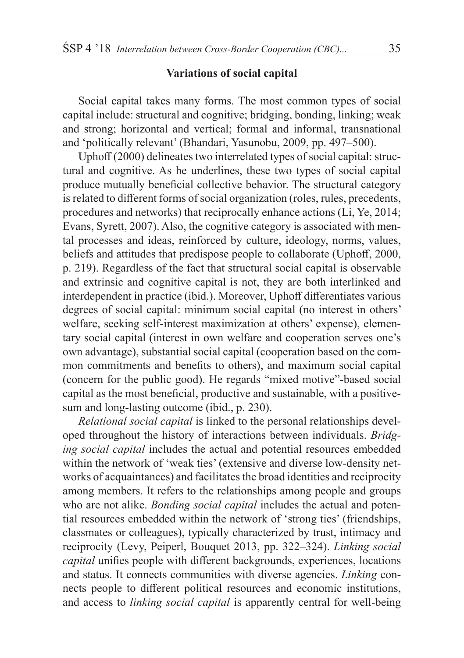## **Variations of social capital**

Social capital takes many forms. The most common types of social capital include: structural and cognitive; bridging, bonding, linking; weak and strong; horizontal and vertical; formal and informal, transnational and 'politically relevant' (Bhandari, Yasunobu, 2009, pp. 497–500).

Uphoff (2000) delineates two interrelated types of social capital: structural and cognitive. As he underlines, these two types of social capital produce mutually beneficial collective behavior. The structural category is related to different forms of social organization (roles, rules, precedents, procedures and networks) that reciprocally enhance actions (Li, Ye, 2014; Evans, Syrett, 2007). Also, the cognitive category is associated with mental processes and ideas, reinforced by culture, ideology, norms, values, beliefs and attitudes that predispose people to collaborate (Uphoff, 2000, p. 219). Regardless of the fact that structural social capital is observable and extrinsic and cognitive capital is not, they are both interlinked and interdependent in practice (ibid.). Moreover, Uphoff differentiates various degrees of social capital: minimum social capital (no interest in others' welfare, seeking self-interest maximization at others' expense), elementary social capital (interest in own welfare and cooperation serves one's own advantage), substantial social capital (cooperation based on the common commitments and benefits to others), and maximum social capital (concern for the public good). He regards "mixed motive"-based social capital as the most beneficial, productive and sustainable, with a positivesum and long-lasting outcome (ibid., p. 230).

*Relational social capital* is linked to the personal relationships developed throughout the history of interactions between individuals. *Bridging social capital* includes the actual and potential resources embedded within the network of 'weak ties' (extensive and diverse low-density networks of acquaintances) and facilitates the broad identities and reciprocity among members. It refers to the relationships among people and groups who are not alike. *Bonding social capital* includes the actual and potential resources embedded within the network of 'strong ties' (friendships, classmates or colleagues), typically characterized by trust, intimacy and reciprocity (Levy, Peiperl, Bouquet 2013, pp. 322–324). *Linking social capital* unifies people with different backgrounds, experiences, locations and status. It connects communities with diverse agencies. *Linking* connects people to different political resources and economic institutions, and access to *linking social capital* is apparently central for well-being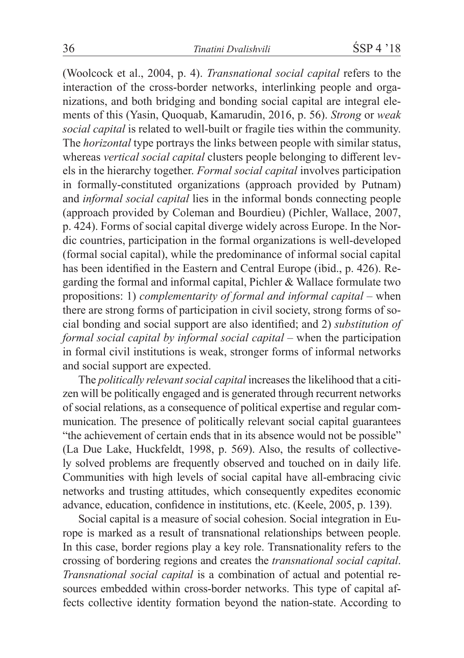(Woolcock et al., 2004, p. 4). *Transnational social capital* refers to the interaction of the cross-border networks, interlinking people and organizations, and both bridging and bonding social capital are integral elements of this (Yasin, Quoquab, Kamarudin, 2016, p. 56). *Strong* or *weak social capital* is related to well-built or fragile ties within the community. The *horizontal* type portrays the links between people with similar status, whereas *vertical social capital* clusters people belonging to different levels in the hierarchy together. *Formal social capital* involves participation in formally-constituted organizations (approach provided by Putnam) and *informal social capital* lies in the informal bonds connecting people (approach provided by Coleman and Bourdieu) (Pichler, Wallace, 2007, p. 424). Forms of social capital diverge widely across Europe. In the Nordic countries, participation in the formal organizations is well-developed (formal social capital), while the predominance of informal social capital has been identified in the Eastern and Central Europe (ibid., p. 426). Regarding the formal and informal capital, Pichler & Wallace formulate two propositions: 1) *complementarity of formal and informal capital* – when there are strong forms of participation in civil society, strong forms of social bonding and social support are also identified; and 2) *substitution of formal social capital by informal social capital* – when the participation in formal civil institutions is weak, stronger forms of informal networks and social support are expected.

The *politically relevant social capital* increases the likelihood that a citizen will be politically engaged and is generated through recurrent networks of social relations, as a consequence of political expertise and regular communication. The presence of politically relevant social capital guarantees "the achievement of certain ends that in its absence would not be possible" (La Due Lake, Huckfeldt, 1998, p. 569). Also, the results of collectively solved problems are frequently observed and touched on in daily life. Communities with high levels of social capital have all-embracing civic networks and trusting attitudes, which consequently expedites economic advance, education, confidence in institutions, etc. (Keele, 2005, p. 139).

Social capital is a measure of social cohesion. Social integration in Europe is marked as a result of transnational relationships between people. In this case, border regions play a key role. Transnationality refers to the crossing of bordering regions and creates the *transnational social capital*. *Transnational social capital* is a combination of actual and potential resources embedded within cross-border networks. This type of capital affects collective identity formation beyond the nation-state. According to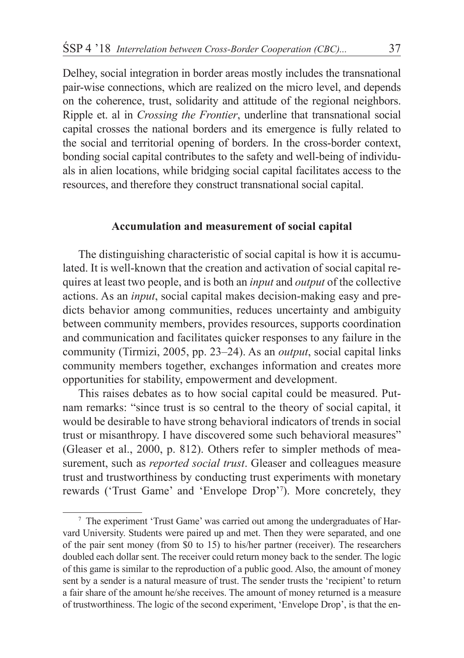Delhey, social integration in border areas mostly includes the transnational pair-wise connections, which are realized on the micro level, and depends on the coherence, trust, solidarity and attitude of the regional neighbors. Ripple et. al in *Crossing the Frontier*, underline that transnational social capital crosses the national borders and its emergence is fully related to the social and territorial opening of borders. In the cross-border context, bonding social capital contributes to the safety and well-being of individuals in alien locations, while bridging social capital facilitates access to the resources, and therefore they construct transnational social capital.

# **Accumulation and measurement of social capital**

The distinguishing characteristic of social capital is how it is accumulated. It is well-known that the creation and activation of social capital requires at least two people, and is both an *input* and *output* of the collective actions. As an *input*, social capital makes decision-making easy and predicts behavior among communities, reduces uncertainty and ambiguity between community members, provides resources, supports coordination and communication and facilitates quicker responses to any failure in the community (Tirmizi, 2005, pp. 23–24). As an *output*, social capital links community members together, exchanges information and creates more opportunities for stability, empowerment and development.

This raises debates as to how social capital could be measured. Putnam remarks: "since trust is so central to the theory of social capital, it would be desirable to have strong behavioral indicators of trends in social trust or misanthropy. I have discovered some such behavioral measures" (Gleaser et al., 2000, p. 812). Others refer to simpler methods of measurement, such as *reported social trust*. Gleaser and colleagues measure trust and trustworthiness by conducting trust experiments with monetary rewards ('Trust Game' and 'Envelope Drop'<sup>7</sup> ). More concretely, they

<sup>7</sup> The experiment 'Trust Game' was carried out among the undergraduates of Harvard University. Students were paired up and met. Then they were separated, and one of the pair sent money (from \$0 to 15) to his/her partner (receiver). The researchers doubled each dollar sent. The receiver could return money back to the sender. The logic of this game is similar to the reproduction of a public good. Also, the amount of money sent by a sender is a natural measure of trust. The sender trusts the 'recipient' to return a fair share of the amount he/she receives. The amount of money returned is a measure of trustworthiness. The logic of the second experiment, 'Envelope Drop', is that the en-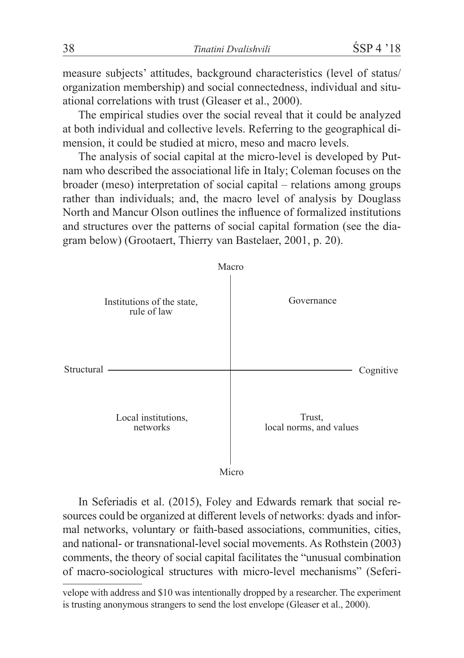measure subjects' attitudes, background characteristics (level of status/ organization membership) and social connectedness, individual and situational correlations with trust (Gleaser et al., 2000).

The empirical studies over the social reveal that it could be analyzed at both individual and collective levels. Referring to the geographical dimension, it could be studied at micro, meso and macro levels.

The analysis of social capital at the micro-level is developed by Putnam who described the associational life in Italy; Coleman focuses on the broader (meso) interpretation of social capital – relations among groups rather than individuals; and, the macro level of analysis by Douglass North and Mancur Olson outlines the influence of formalized institutions and structures over the patterns of social capital formation (see the diagram below) (Grootaert, Thierry van Bastelaer, 2001, p. 20).



In Seferiadis et al. (2015), Foley and Edwards remark that social resources could be organized at different levels of networks: dyads and informal networks, voluntary or faith-based associations, communities, cities, and national- or transnational-level social movements. As Rothstein (2003) comments, the theory of social capital facilitates the "unusual combination of macro-sociological structures with micro-level mechanisms" (Seferi-

velope with address and \$10 was intentionally dropped by a researcher. The experiment is trusting anonymous strangers to send the lost envelope (Gleaser et al., 2000).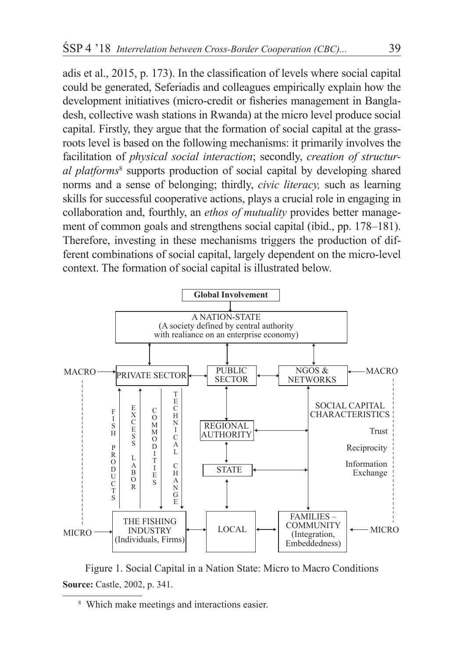adis et al., 2015, p. 173). In the classification of levels where social capital could be generated, Seferiadis and colleagues empirically explain how the development initiatives (micro-credit or fisheries management in Bangladesh, collective wash stations in Rwanda) at the micro level produce social capital. Firstly, they argue that the formation of social capital at the grassroots level is based on the following mechanisms: it primarily involves the facilitation of *physical social interaction*; secondly, *creation of structural platforms*<sup>8</sup> supports production of social capital by developing shared norms and a sense of belonging; thirdly, *civic literacy,* such as learning skills for successful cooperative actions, plays a crucial role in engaging in collaboration and, fourthly, an *ethos of mutuality* provides better management of common goals and strengthens social capital (ibid., pp. 178–181). Therefore, investing in these mechanisms triggers the production of different combinations of social capital, largely dependent on the micro-level context. The formation of social capital is illustrated below.



Figure 1. Social Capital in a Nation State: Micro to Macro Conditions **Source:** Castle, 2002, p. 341.

<sup>8</sup> Which make meetings and interactions easier.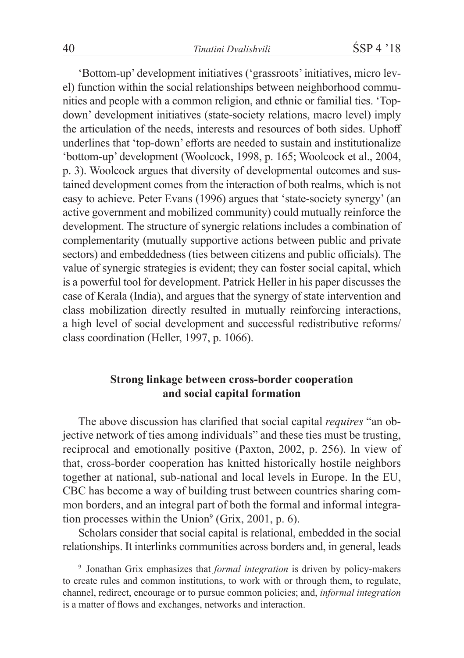'Bottom-up' development initiatives ('grassroots' initiatives, micro level) function within the social relationships between neighborhood communities and people with a common religion, and ethnic or familial ties. 'Topdown' development initiatives (state-society relations, macro level) imply the articulation of the needs, interests and resources of both sides. Uphoff underlines that 'top-down' efforts are needed to sustain and institutionalize 'bottom-up' development (Woolcock, 1998, p. 165; Woolcock et al., 2004, p. 3). Woolcock argues that diversity of developmental outcomes and sustained development comes from the interaction of both realms, which is not easy to achieve. Peter Evans (1996) argues that 'state-society synergy' (an active government and mobilized community) could mutually reinforce the development. The structure of synergic relations includes a combination of complementarity (mutually supportive actions between public and private sectors) and embeddedness (ties between citizens and public officials). The value of synergic strategies is evident; they can foster social capital, which is a powerful tool for development. Patrick Heller in his paper discusses the case of Kerala (India), and argues that the synergy of state intervention and class mobilization directly resulted in mutually reinforcing interactions, a high level of social development and successful redistributive reforms/ class coordination (Heller, 1997, p. 1066).

# **Strong linkage between cross-border cooperation and social capital formation**

The above discussion has clarified that social capital *requires* "an objective network of ties among individuals" and these ties must be trusting, reciprocal and emotionally positive (Paxton, 2002, p. 256). In view of that, cross-border cooperation has knitted historically hostile neighbors together at national, sub-national and local levels in Europe. In the EU, CBC has become a way of building trust between countries sharing common borders, and an integral part of both the formal and informal integration processes within the Union $^9$  (Grix, 2001, p. 6).

Scholars consider that social capital is relational, embedded in the social relationships. It interlinks communities across borders and, in general, leads

<sup>9</sup> Jonathan Grix emphasizes that *formal integration* is driven by policy-makers to create rules and common institutions, to work with or through them, to regulate, channel, redirect, encourage or to pursue common policies; and, *informal integration* is a matter of flows and exchanges, networks and interaction.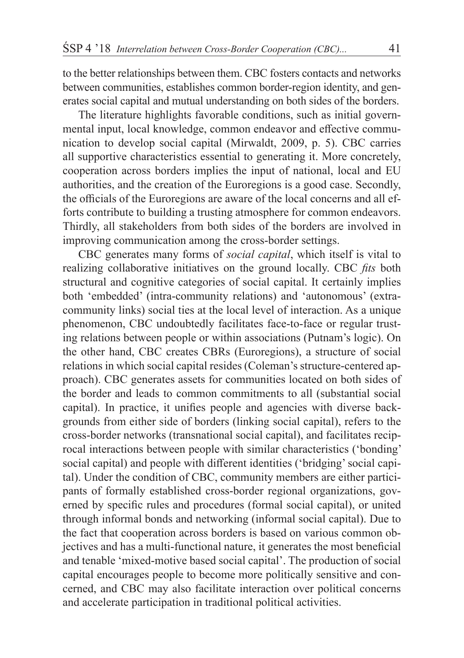to the better relationships between them. CBC fosters contacts and networks between communities, establishes common border-region identity, and generates social capital and mutual understanding on both sides of the borders.

The literature highlights favorable conditions, such as initial governmental input, local knowledge, common endeavor and effective communication to develop social capital (Mirwaldt, 2009, p. 5). CBC carries all supportive characteristics essential to generating it. More concretely, cooperation across borders implies the input of national, local and EU authorities, and the creation of the Euroregions is a good case. Secondly, the officials of the Euroregions are aware of the local concerns and all efforts contribute to building a trusting atmosphere for common endeavors. Thirdly, all stakeholders from both sides of the borders are involved in improving communication among the cross-border settings.

CBC generates many forms of *social capital*, which itself is vital to realizing collaborative initiatives on the ground locally. CBC *fits* both structural and cognitive categories of social capital. It certainly implies both 'embedded' (intra-community relations) and 'autonomous' (extracommunity links) social ties at the local level of interaction. As a unique phenomenon, CBC undoubtedly facilitates face-to-face or regular trusting relations between people or within associations (Putnam's logic). On the other hand, CBC creates CBRs (Euroregions), a structure of social relations in which social capital resides (Coleman's structure-centered approach). CBC generates assets for communities located on both sides of the border and leads to common commitments to all (substantial social capital). In practice, it unifies people and agencies with diverse backgrounds from either side of borders (linking social capital), refers to the cross-border networks (transnational social capital), and facilitates reciprocal interactions between people with similar characteristics ('bonding' social capital) and people with different identities ('bridging' social capital). Under the condition of CBC, community members are either participants of formally established cross-border regional organizations, governed by specific rules and procedures (formal social capital), or united through informal bonds and networking (informal social capital). Due to the fact that cooperation across borders is based on various common objectives and has a multi-functional nature, it generates the most beneficial and tenable 'mixed-motive based social capital'. The production of social capital encourages people to become more politically sensitive and concerned, and CBC may also facilitate interaction over political concerns and accelerate participation in traditional political activities.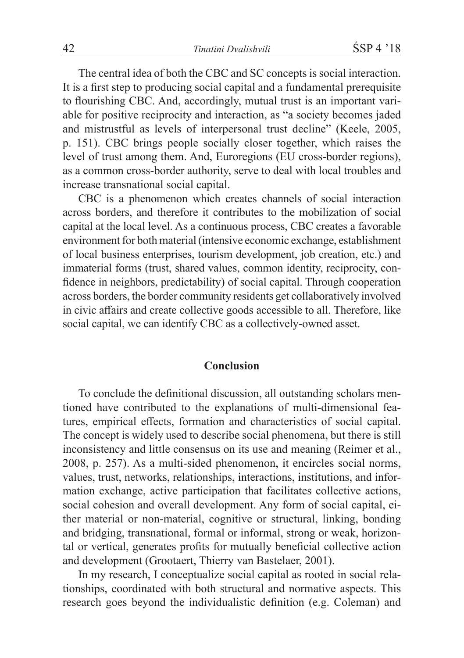The central idea of both the CBC and SC concepts is social interaction. It is a first step to producing social capital and a fundamental prerequisite to flourishing CBC. And, accordingly, mutual trust is an important variable for positive reciprocity and interaction, as "a society becomes jaded and mistrustful as levels of interpersonal trust decline" (Keele, 2005, p. 151). CBC brings people socially closer together, which raises the level of trust among them. And, Euroregions (EU cross-border regions), as a common cross-border authority, serve to deal with local troubles and increase transnational social capital.

CBC is a phenomenon which creates channels of social interaction across borders, and therefore it contributes to the mobilization of social capital at the local level. As a continuous process, CBC creates a favorable environment for both material (intensive economic exchange, establishment of local business enterprises, tourism development, job creation, etc.) and immaterial forms (trust, shared values, common identity, reciprocity, confidence in neighbors, predictability) of social capital. Through cooperation across borders, the border community residents get collaboratively involved in civic affairs and create collective goods accessible to all. Therefore, like social capital, we can identify CBC as a collectively-owned asset.

## **Conclusion**

To conclude the definitional discussion, all outstanding scholars mentioned have contributed to the explanations of multi-dimensional features, empirical effects, formation and characteristics of social capital. The concept is widely used to describe social phenomena, but there is still inconsistency and little consensus on its use and meaning (Reimer et al., 2008, p. 257). As a multi-sided phenomenon, it encircles social norms, values, trust, networks, relationships, interactions, institutions, and information exchange, active participation that facilitates collective actions, social cohesion and overall development. Any form of social capital, either material or non-material, cognitive or structural, linking, bonding and bridging, transnational, formal or informal, strong or weak, horizontal or vertical, generates profits for mutually beneficial collective action and development (Grootaert, Thierry van Bastelaer, 2001).

In my research, I conceptualize social capital as rooted in social relationships, coordinated with both structural and normative aspects. This research goes beyond the individualistic definition (e.g. Coleman) and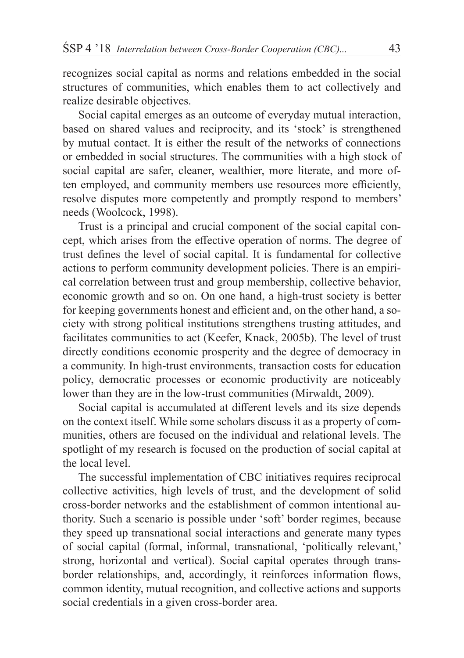recognizes social capital as norms and relations embedded in the social structures of communities, which enables them to act collectively and realize desirable objectives.

Social capital emerges as an outcome of everyday mutual interaction, based on shared values and reciprocity, and its 'stock' is strengthened by mutual contact. It is either the result of the networks of connections or embedded in social structures. The communities with a high stock of social capital are safer, cleaner, wealthier, more literate, and more often employed, and community members use resources more efficiently, resolve disputes more competently and promptly respond to members' needs (Woolcock, 1998).

Trust is a principal and crucial component of the social capital concept, which arises from the effective operation of norms. The degree of trust defines the level of social capital. It is fundamental for collective actions to perform community development policies. There is an empirical correlation between trust and group membership, collective behavior, economic growth and so on. On one hand, a high-trust society is better for keeping governments honest and efficient and, on the other hand, a society with strong political institutions strengthens trusting attitudes, and facilitates communities to act (Keefer, Knack, 2005b). The level of trust directly conditions economic prosperity and the degree of democracy in a community. In high-trust environments, transaction costs for education policy, democratic processes or economic productivity are noticeably lower than they are in the low-trust communities (Mirwaldt, 2009).

Social capital is accumulated at different levels and its size depends on the context itself. While some scholars discuss it as a property of communities, others are focused on the individual and relational levels. The spotlight of my research is focused on the production of social capital at the local level.

The successful implementation of CBC initiatives requires reciprocal collective activities, high levels of trust, and the development of solid cross-border networks and the establishment of common intentional authority. Such a scenario is possible under 'soft' border regimes, because they speed up transnational social interactions and generate many types of social capital (formal, informal, transnational, 'politically relevant,' strong, horizontal and vertical). Social capital operates through transborder relationships, and, accordingly, it reinforces information flows, common identity, mutual recognition, and collective actions and supports social credentials in a given cross-border area.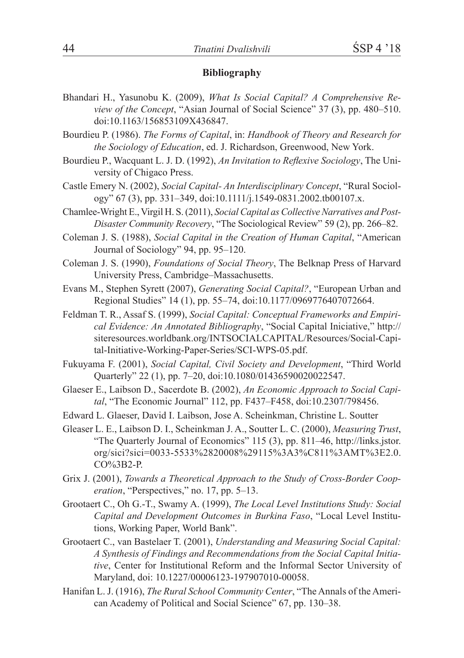### **Bibliography**

- Bhandari H., Yasunobu K. (2009), *What Is Social Capital? A Comprehensive Review of the Concept*, "Asian Journal of Social Science" 37 (3), pp. 480–510. doi:10.1163/156853109X436847.
- Bourdieu P. (1986). *The Forms of Capital*, in: *Handbook of Theory and Research for the Sociology of Education*, ed. J. Richardson, Greenwood, New York.
- Bourdieu P., Wacquant L. J. D. (1992), *An Invitation to Reflexive Sociology*, The University of Chigaco Press.
- Castle Emery N. (2002), *Social Capital- An Interdisciplinary Concept*, "Rural Sociology" 67 (3), pp. 331–349, doi:10.1111/j.1549-0831.2002.tb00107.x.
- Chamlee-Wright E., Virgil H. S. (2011), *Social Capital as Collective Narratives and Post-Disaster Community Recovery*, "The Sociological Review" 59 (2), pp. 266–82.
- Coleman J. S. (1988), *Social Capital in the Creation of Human Capital*, "American Journal of Sociology" 94, pp. 95–120.
- Coleman J. S. (1990), *Foundations of Social Theory*, The Belknap Press of Harvard University Press, Cambridge–Massachusetts.
- Evans M., Stephen Syrett (2007), *Generating Social Capital?*, "European Urban and Regional Studies" 14 (1), pp. 55–74, doi:10.1177/0969776407072664.
- Feldman T. R., Assaf S. (1999), *Social Capital: Conceptual Frameworks and Empirical Evidence: An Annotated Bibliography*, "Social Capital Iniciative," http:// siteresources.worldbank.org/INTSOCIALCAPITAL/Resources/Social-Capital-Initiative-Working-Paper-Series/SCI-WPS-05.pdf.
- Fukuyama F. (2001), *Social Capital, Civil Society and Development*, "Third World Quarterly" 22 (1), pp. 7–20, doi:10.1080/01436590020022547.
- Glaeser E., Laibson D., Sacerdote B. (2002), *An Economic Approach to Social Capital*, "The Economic Journal" 112, pp. F437–F458, doi:10.2307/798456.
- Edward L. Glaeser, David I. Laibson, Jose A. Scheinkman, Christine L. Soutter
- Gleaser L. E., Laibson D. I., Scheinkman J. A., Soutter L. C. (2000), *Measuring Trust*, "The Quarterly Journal of Economics" 115 (3), pp. 811–46, http://links.jstor. org/sici?sici=0033-5533%2820008%29115%3A3%C811%3AMT%3E2.0. CO%3B2-P.
- Grix J. (2001), *Towards a Theoretical Approach to the Study of Cross-Border Cooperation*, "Perspectives," no. 17, pp. 5–13.
- Grootaert C., Oh G.-T., Swamy A. (1999), *The Local Level Institutions Study: Social Capital and Development Outcomes in Burkina Faso*, "Local Level Institutions, Working Paper, World Bank".
- Grootaert C., van Bastelaer T. (2001), *Understanding and Measuring Social Capital: A Synthesis of Findings and Recommendations from the Social Capital Initiative*, Center for Institutional Reform and the Informal Sector University of Maryland, doi: 10.1227/00006123-197907010-00058.
- Hanifan L. J. (1916), *The Rural School Community Center*, "The Annals of the American Academy of Political and Social Science" 67, pp. 130–38.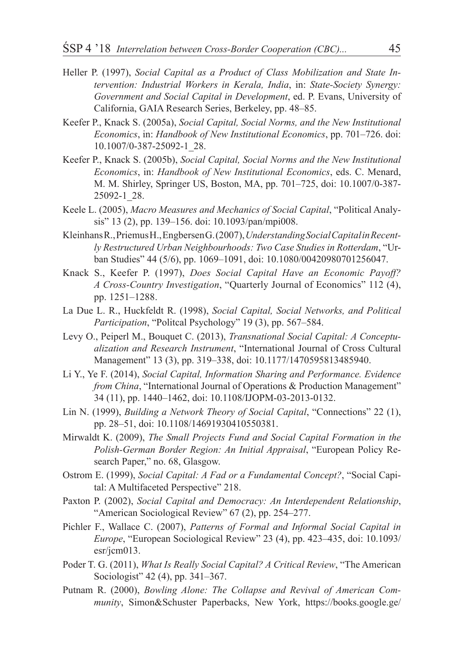- Heller P. (1997), *Social Capital as a Product of Class Mobilization and State Intervention: Industrial Workers in Kerala, India*, in: *State-Society Synergy: Government and Social Capital in Development*, ed. P. Evans, University of California, GAIA Research Series, Berkeley, pp. 48–85.
- Keefer P., Knack S. (2005a), *Social Capital, Social Norms, and the New Institutional Economics*, in: *Handbook of New Institutional Economics*, pp. 701–726. doi: 10.1007/0-387-25092-1\_28.
- Keefer P., Knack S. (2005b), *Social Capital, Social Norms and the New Institutional Economics*, in: *Handbook of New Institutional Economics*, eds. C. Menard, M. M. Shirley, Springer US, Boston, MA, pp. 701–725, doi: 10.1007/0-387- 25092-1\_28.
- Keele L. (2005), *Macro Measures and Mechanics of Social Capital*, "Political Analysis" 13 (2), pp. 139–156. doi: 10.1093/pan/mpi008.
- Kleinhans R., Priemus H., Engbersen G. (2007), *Understanding Social Capital in Recently Restructured Urban Neighbourhoods: Two Case Studies in Rotterdam*, "Urban Studies" 44 (5/6), pp. 1069–1091, doi: 10.1080/00420980701256047.
- Knack S., Keefer P. (1997), *Does Social Capital Have an Economic Payoff? A Cross-Country Investigation*, "Quarterly Journal of Economics" 112 (4), pp. 1251–1288.
- La Due L. R., Huckfeldt R. (1998), *Social Capital, Social Networks, and Political Participation*, "Politcal Psychology" 19 (3), pp. 567–584.
- Levy O., Peiperl M., Bouquet C. (2013), *Transnational Social Capital: A Conceptualization and Research Instrument*, "International Journal of Cross Cultural Management" 13 (3), pp. 319–338, doi: 10.1177/1470595813485940.
- Li Y., Ye F. (2014), *Social Capital, Information Sharing and Performance. Evidence from China*, "International Journal of Operations & Production Management" 34 (11), pp. 1440–1462, doi: 10.1108/IJOPM-03-2013-0132.
- Lin N. (1999), *Building a Network Theory of Social Capital*, "Connections" 22 (1), pp. 28–51, doi: 10.1108/14691930410550381.
- Mirwaldt K. (2009), *The Small Projects Fund and Social Capital Formation in the Polish-German Border Region: An Initial Appraisal*, "European Policy Research Paper," no. 68, Glasgow.
- Ostrom E. (1999), *Social Capital: A Fad or a Fundamental Concept?*, "Social Capital: A Multifaceted Perspective" 218.
- Paxton P. (2002), *Social Capital and Democracy: An Interdependent Relationship*, "American Sociological Review" 67 (2), pp. 254–277.
- Pichler F., Wallace C. (2007), *Patterns of Formal and Informal Social Capital in Europe*, "European Sociological Review" 23 (4), pp. 423–435, doi: 10.1093/ esr/jcm013.
- Poder T. G. (2011), *What Is Really Social Capital? A Critical Review*, "The American Sociologist" 42 (4), pp. 341–367.
- Putnam R. (2000), *Bowling Alone: The Collapse and Revival of American Community*, Simon&Schuster Paperbacks, New York, https://books.google.ge/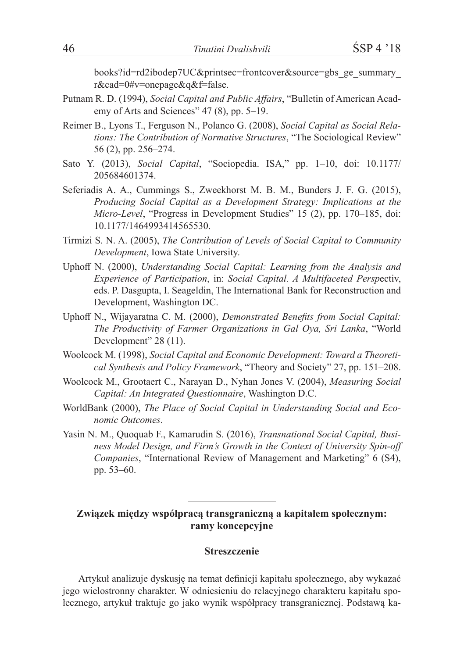books?id=rd2ibodep7UC&printsec=frontcover&source=gbs\_ge\_summary\_ r&cad=0#v=onepage&q&f=false.

- Putnam R. D. (1994), *Social Capital and Public Affairs*, "Bulletin of American Academy of Arts and Sciences" 47 (8), pp. 5–19.
- Reimer B., Lyons T., Ferguson N., Polanco G. (2008), *Social Capital as Social Relations: The Contribution of Normative Structures*, "The Sociological Review" 56 (2), pp. 256–274.
- Sato Y. (2013), *Social Capital*, "Sociopedia. ISA," pp. 1–10, doi: 10.1177/ 205684601374.
- Seferiadis A. A., Cummings S., Zweekhorst M. B. M., Bunders J. F. G. (2015), *Producing Social Capital as a Development Strategy: Implications at the Micro-Level*, "Progress in Development Studies" 15 (2), pp. 170–185, doi: 10.1177/1464993414565530.
- Tirmizi S. N. A. (2005), *The Contribution of Levels of Social Capital to Community Development*, Iowa State University.
- Uphoff N. (2000), *Understanding Social Capital: Learning from the Analysis and Experience of Participation*, in: *Social Capital. A Multifaceted Persp*ectiv, eds. P. Dasgupta, I. Seageldin, The International Bank for Reconstruction and Development, Washington DC.
- Uphoff N., Wijayaratna C. M. (2000), *Demonstrated Benefits from Social Capital: The Productivity of Farmer Organizations in Gal Oya, Sri Lanka*, "World Development" 28 (11).
- Woolcock M. (1998), *Social Capital and Economic Development: Toward a Theoretical Synthesis and Policy Framework*, "Theory and Society" 27, pp. 151–208.
- Woolcock M., Grootaert C., Narayan D., Nyhan Jones V. (2004), *Measuring Social Capital: An Integrated Questionnaire*, Washington D.C.
- WorldBank (2000), *The Place of Social Capital in Understanding Social and Economic Outcomes*.
- Yasin N. M., Quoquab F., Kamarudin S. (2016), *Transnational Social Capital, Business Model Design, and Firm's Growth in the Context of University Spin-off Companies*, "International Review of Management and Marketing" 6 (S4), pp. 53–60.

# **Związek między współpracą transgraniczną a kapitałem społecznym: ramy koncepcyjne**

#### **Streszczenie**

Artykuł analizuje dyskusję na temat definicji kapitału społecznego, aby wykazać jego wielostronny charakter. W odniesieniu do relacyjnego charakteru kapitału społecznego, artykuł traktuje go jako wynik współpracy transgranicznej. Podstawą ka